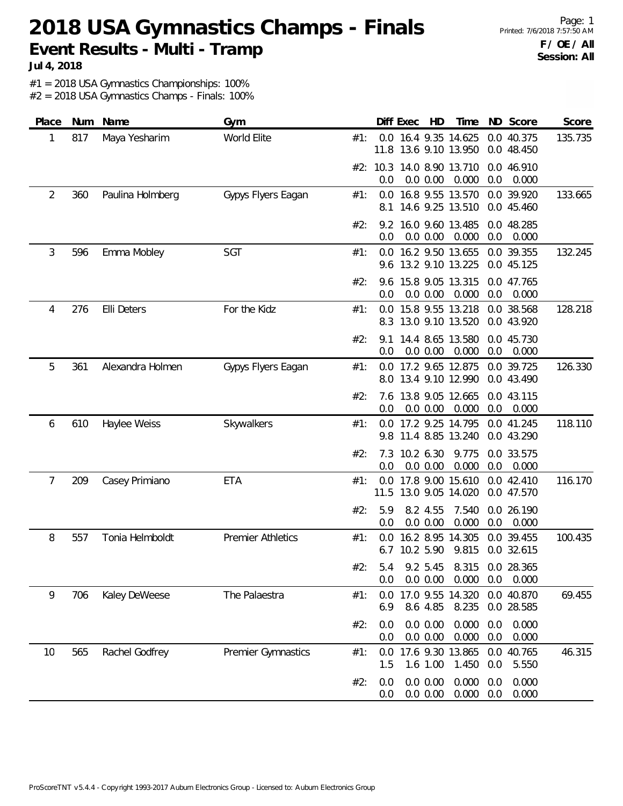## **2018 USA Gymnastics Champs - Finals Event Results - Multi - Tramp**

**Jul 4, 2018**

#1 = 2018 USA Gymnastics Championships: 100%

| Place          | Num | Name             | Gym                      | Score<br>Diff Exec<br>HD<br>Time<br>ND Score                                                       |
|----------------|-----|------------------|--------------------------|----------------------------------------------------------------------------------------------------|
| 1              | 817 | Maya Yesharim    | World Elite              | 0.0 16.4 9.35 14.625<br>0.0 40.375<br>135.735<br>#1:<br>11.8 13.6 9.10 13.950<br>0.0 48.450        |
|                |     |                  |                          | #2: 10.3 14.0 8.90 13.710<br>0.0 46.910<br>0.000<br>0.0<br>0.0 0.00<br>0.0<br>0.000                |
| $\overline{2}$ | 360 | Paulina Holmberg | Gypys Flyers Eagan       | 16.8 9.55 13.570<br>0.0 39.920<br>#1:<br>0.0<br>133.665<br>14.6 9.25 13.510<br>0.0 45.460<br>8.1   |
|                |     |                  |                          | 16.0 9.60 13.485<br>0.0 48.285<br>#2:<br>9.2<br>0.0 0.00<br>0.000<br>0.0<br>0.0<br>0.000           |
| 3              | 596 | Emma Mobley      | SGT                      | 0.0 16.2 9.50 13.655<br>132.245<br>#1:<br>0.0 39.355<br>13.2 9.10 13.225<br>9.6<br>0.0 45.125      |
|                |     |                  |                          | #2:<br>15.8 9.05 13.315<br>0.0 47.765<br>9.6<br>0.0<br>0.0 0.00<br>0.000<br>0.0<br>0.000           |
| 4              | 276 | Elli Deters      | For the Kidz             | 15.8 9.55 13.218<br>128.218<br>0.0<br>0.0 38.568<br>#1:<br>8.3 13.0 9.10 13.520<br>0.0 43.920      |
|                |     |                  |                          | 14.4 8.65 13.580<br>0.0 45.730<br>#2:<br>9.1<br>0.0 0.00<br>0.0<br>0.000<br>0.0<br>0.000           |
| 5              | 361 | Alexandra Holmen | Gypys Flyers Eagan       | 17.2 9.65 12.875<br>0.0 39.725<br>126.330<br>#1:<br>0.0<br>13.4 9.10 12.990<br>8.0<br>0.0 43.490   |
|                |     |                  |                          | 13.8 9.05 12.665<br>#2:<br>0.0 43.115<br>7.6<br>0.0<br>0.0 0.00<br>0.000<br>0.0<br>0.000           |
| 6              | 610 | Haylee Weiss     | Skywalkers               | 118.110<br>17.2 9.25 14.795<br>0.0 41.245<br>#1:<br>0.0<br>11.4 8.85 13.240<br>0.0 43.290<br>9.8   |
|                |     |                  |                          | 10.2 6.30<br>#2:<br>7.3<br>9.775<br>0.0 33.575<br>0.0 0.00<br>0.000<br>0.0<br>0.000<br>0.0         |
| 7              | 209 | Casey Primiano   | <b>ETA</b>               | 116.170<br>17.8 9.00 15.610<br>0.0<br>0.0 42.410<br>#1:<br>11.5 13.0 9.05 14.020<br>0.0 47.570     |
|                |     |                  |                          | #2:<br>5.9<br>8.2 4.55<br>7.540<br>0.0 26.190<br>0.0 0.00<br>0.000<br>0.0<br>0.0<br>0.000          |
| 8              | 557 | Tonia Helmboldt  | <b>Premier Athletics</b> | 16.2 8.95 14.305<br>0.0 39.455<br>100.435<br>#1:<br>0.0<br>6.7 10.2 5.90<br>9.815<br>0.0 32.615    |
|                |     |                  |                          | #2:<br>5.4 9.2 5.45 8.315 0.0 28.365<br>0.000<br>0.0 0.00<br>0.0<br>0.000<br>0.0                   |
| 9              | 706 | Kaley DeWeese    | The Palaestra            | 17.0 9.55 14.320<br>0.0 40.870<br>69.455<br>#1:<br>0.0<br>8.6 4.85<br>8.235<br>6.9<br>0.0 28.585   |
|                |     |                  |                          | 0.0 0.00<br>0.0<br>0.000<br>0.0<br>0.000<br>#2:<br>0.0 0.00<br>0.000<br>0.000<br>0.0<br>0.0        |
| 10             | 565 | Rachel Godfrey   | Premier Gymnastics       | 17.6 9.30 13.865<br>46.315<br>0.0 40.765<br>#1:<br>0.0<br>1.6 1.00<br>1.450<br>0.0<br>5.550<br>1.5 |
|                |     |                  |                          | 0.0 0.00<br>0.000<br>0.000<br>#2:<br>0.0<br>0.0<br>0.000<br>0.000<br>0.0 0.00<br>0.0<br>0.0        |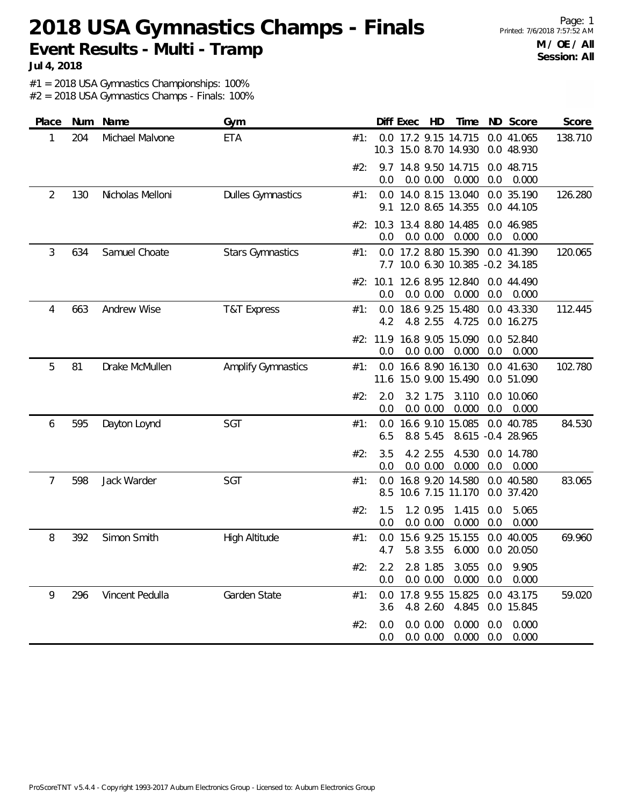#### **2018 USA Gymnastics Champs - Finals Event Results - Multi - Tramp**

**Jul 4, 2018**

#1 = 2018 USA Gymnastics Championships: 100%

| <b>ETA</b><br>0.0 17.2 9.15 14.715<br>0.0 41.065<br>138.710<br>204<br>Michael Malvone<br>1<br>#1:<br>10.3 15.0 8.70 14.930<br>0.0 48.930<br>#2:<br>9.7 14.8 9.50 14.715<br>0.0 48.715<br>0.0 0.00<br>0.000<br>0.0<br>0.000<br>0.0<br>14.0 8.15 13.040<br>2<br>130<br>Nicholas Melloni<br><b>Dulles Gymnastics</b><br>0.0 35.190<br>126.280<br>#1:<br>0.0<br>12.0 8.65 14.355<br>9.1<br>0.0 44.105<br>13.4 8.80 14.485<br>#2: 10.3<br>0.0 46.985<br>0.000<br>0.0<br>0.0<br>0.0 0.00<br>0.000<br>Samuel Choate<br>120.065<br>3<br>634<br><b>Stars Gymnastics</b><br>17.2 8.80 15.390<br>0.0 41.390<br>#1:<br>0.0<br>10.0 6.30 10.385 -0.2 34.185<br>12.6 8.95 12.840<br>0.0 44.490<br>#2: 10.1<br>0.0 0.00<br>0.0<br>0.000<br>0.0<br>0.000<br>663<br>Andrew Wise<br>18.6 9.25 15.480<br>0.0 43.330<br>112.445<br>4<br><b>T&amp;T Express</b><br>#1:<br>0.0<br>4.8 2.55<br>4.2<br>4.725<br>0.0 16.275<br>16.8 9.05 15.090<br>#2: 11.9<br>0.0 52.840<br>0.0<br>0.0 0.00<br>0.000<br>0.0<br>0.000<br>5<br>16.6 8.90 16.130<br>81<br><b>Amplify Gymnastics</b><br>0.0 41.630<br>102.780<br>Drake McMullen<br>#1:<br>0.0<br>15.0 9.00 15.490<br>11.6<br>0.0 51.090<br>#2:<br>2.0<br>3.2 1.75<br>3.110<br>0.0 10.060<br>0.0 0.00<br>0.000<br>0.0<br>0.0<br>0.000<br>SGT<br>16.6 9.10 15.085<br>0.0 40.785<br>84.530<br>595<br>Dayton Loynd<br>6<br>#1:<br>0.0<br>8.615 -0.4 28.965<br>6.5<br>8.8 5.45<br>4.530<br>#2:<br>3.5<br>4.2 2.55<br>0.0 14.780<br>0.0 0.00<br>0.000<br>0.0<br>0.000<br>0.0<br>7<br>598<br>Jack Warder<br>SGT<br>16.8 9.20 14.580<br>0.0 40.580<br>83.065<br>#1:<br>0.0<br>10.6 7.15 11.170<br>0.0 37.420<br>8.5<br>#2:<br>1.5<br>1.2 0.95<br>1.415<br>5.065<br>0.0<br>0.0<br>0.0 0.00<br>0.000<br>0.000<br>0.0<br>8<br>392<br>Simon Smith<br>15.6 9.25 15.155<br>0.0 40.005<br><b>High Altitude</b><br>#1:<br>69.960<br>0.0<br>5.8 3.55<br>4.7<br>6.000<br>0.0 20.050<br>#2:<br>$2.2^{\circ}$<br>2.8 1.85 3.055 0.0 9.905<br>0.0 0.00 0.000 0.0 0.000<br>0.0 <sub>1</sub><br>Vincent Pedulla<br>Garden State<br>0.0 17.8 9.55 15.825 0.0 43.175<br>59.020<br>9<br>296<br>#1:<br>4.845 0.0 15.845<br>4.8 2.60<br>3.6<br>#2:<br>0.0 0.00<br>0.000<br>0.000<br>0.0<br>0.0 | Place | Num Name | Gym |     | Diff Exec HD | Time  |     | ND Score | Score |
|----------------------------------------------------------------------------------------------------------------------------------------------------------------------------------------------------------------------------------------------------------------------------------------------------------------------------------------------------------------------------------------------------------------------------------------------------------------------------------------------------------------------------------------------------------------------------------------------------------------------------------------------------------------------------------------------------------------------------------------------------------------------------------------------------------------------------------------------------------------------------------------------------------------------------------------------------------------------------------------------------------------------------------------------------------------------------------------------------------------------------------------------------------------------------------------------------------------------------------------------------------------------------------------------------------------------------------------------------------------------------------------------------------------------------------------------------------------------------------------------------------------------------------------------------------------------------------------------------------------------------------------------------------------------------------------------------------------------------------------------------------------------------------------------------------------------------------------------------------------------------------------------------------------------------------------------------------------------------------------------------------------------------------------------------------------------------------------------------------------------------------------------------------------------------------------|-------|----------|-----|-----|--------------|-------|-----|----------|-------|
|                                                                                                                                                                                                                                                                                                                                                                                                                                                                                                                                                                                                                                                                                                                                                                                                                                                                                                                                                                                                                                                                                                                                                                                                                                                                                                                                                                                                                                                                                                                                                                                                                                                                                                                                                                                                                                                                                                                                                                                                                                                                                                                                                                                        |       |          |     |     |              |       |     |          |       |
|                                                                                                                                                                                                                                                                                                                                                                                                                                                                                                                                                                                                                                                                                                                                                                                                                                                                                                                                                                                                                                                                                                                                                                                                                                                                                                                                                                                                                                                                                                                                                                                                                                                                                                                                                                                                                                                                                                                                                                                                                                                                                                                                                                                        |       |          |     |     |              |       |     |          |       |
|                                                                                                                                                                                                                                                                                                                                                                                                                                                                                                                                                                                                                                                                                                                                                                                                                                                                                                                                                                                                                                                                                                                                                                                                                                                                                                                                                                                                                                                                                                                                                                                                                                                                                                                                                                                                                                                                                                                                                                                                                                                                                                                                                                                        |       |          |     |     |              |       |     |          |       |
|                                                                                                                                                                                                                                                                                                                                                                                                                                                                                                                                                                                                                                                                                                                                                                                                                                                                                                                                                                                                                                                                                                                                                                                                                                                                                                                                                                                                                                                                                                                                                                                                                                                                                                                                                                                                                                                                                                                                                                                                                                                                                                                                                                                        |       |          |     |     |              |       |     |          |       |
|                                                                                                                                                                                                                                                                                                                                                                                                                                                                                                                                                                                                                                                                                                                                                                                                                                                                                                                                                                                                                                                                                                                                                                                                                                                                                                                                                                                                                                                                                                                                                                                                                                                                                                                                                                                                                                                                                                                                                                                                                                                                                                                                                                                        |       |          |     |     |              |       |     |          |       |
|                                                                                                                                                                                                                                                                                                                                                                                                                                                                                                                                                                                                                                                                                                                                                                                                                                                                                                                                                                                                                                                                                                                                                                                                                                                                                                                                                                                                                                                                                                                                                                                                                                                                                                                                                                                                                                                                                                                                                                                                                                                                                                                                                                                        |       |          |     |     |              |       |     |          |       |
|                                                                                                                                                                                                                                                                                                                                                                                                                                                                                                                                                                                                                                                                                                                                                                                                                                                                                                                                                                                                                                                                                                                                                                                                                                                                                                                                                                                                                                                                                                                                                                                                                                                                                                                                                                                                                                                                                                                                                                                                                                                                                                                                                                                        |       |          |     |     |              |       |     |          |       |
|                                                                                                                                                                                                                                                                                                                                                                                                                                                                                                                                                                                                                                                                                                                                                                                                                                                                                                                                                                                                                                                                                                                                                                                                                                                                                                                                                                                                                                                                                                                                                                                                                                                                                                                                                                                                                                                                                                                                                                                                                                                                                                                                                                                        |       |          |     |     |              |       |     |          |       |
|                                                                                                                                                                                                                                                                                                                                                                                                                                                                                                                                                                                                                                                                                                                                                                                                                                                                                                                                                                                                                                                                                                                                                                                                                                                                                                                                                                                                                                                                                                                                                                                                                                                                                                                                                                                                                                                                                                                                                                                                                                                                                                                                                                                        |       |          |     |     |              |       |     |          |       |
|                                                                                                                                                                                                                                                                                                                                                                                                                                                                                                                                                                                                                                                                                                                                                                                                                                                                                                                                                                                                                                                                                                                                                                                                                                                                                                                                                                                                                                                                                                                                                                                                                                                                                                                                                                                                                                                                                                                                                                                                                                                                                                                                                                                        |       |          |     |     |              |       |     |          |       |
|                                                                                                                                                                                                                                                                                                                                                                                                                                                                                                                                                                                                                                                                                                                                                                                                                                                                                                                                                                                                                                                                                                                                                                                                                                                                                                                                                                                                                                                                                                                                                                                                                                                                                                                                                                                                                                                                                                                                                                                                                                                                                                                                                                                        |       |          |     |     |              |       |     |          |       |
|                                                                                                                                                                                                                                                                                                                                                                                                                                                                                                                                                                                                                                                                                                                                                                                                                                                                                                                                                                                                                                                                                                                                                                                                                                                                                                                                                                                                                                                                                                                                                                                                                                                                                                                                                                                                                                                                                                                                                                                                                                                                                                                                                                                        |       |          |     |     |              |       |     |          |       |
|                                                                                                                                                                                                                                                                                                                                                                                                                                                                                                                                                                                                                                                                                                                                                                                                                                                                                                                                                                                                                                                                                                                                                                                                                                                                                                                                                                                                                                                                                                                                                                                                                                                                                                                                                                                                                                                                                                                                                                                                                                                                                                                                                                                        |       |          |     |     |              |       |     |          |       |
|                                                                                                                                                                                                                                                                                                                                                                                                                                                                                                                                                                                                                                                                                                                                                                                                                                                                                                                                                                                                                                                                                                                                                                                                                                                                                                                                                                                                                                                                                                                                                                                                                                                                                                                                                                                                                                                                                                                                                                                                                                                                                                                                                                                        |       |          |     |     |              |       |     |          |       |
|                                                                                                                                                                                                                                                                                                                                                                                                                                                                                                                                                                                                                                                                                                                                                                                                                                                                                                                                                                                                                                                                                                                                                                                                                                                                                                                                                                                                                                                                                                                                                                                                                                                                                                                                                                                                                                                                                                                                                                                                                                                                                                                                                                                        |       |          |     |     |              |       |     |          |       |
|                                                                                                                                                                                                                                                                                                                                                                                                                                                                                                                                                                                                                                                                                                                                                                                                                                                                                                                                                                                                                                                                                                                                                                                                                                                                                                                                                                                                                                                                                                                                                                                                                                                                                                                                                                                                                                                                                                                                                                                                                                                                                                                                                                                        |       |          |     |     |              |       |     |          |       |
|                                                                                                                                                                                                                                                                                                                                                                                                                                                                                                                                                                                                                                                                                                                                                                                                                                                                                                                                                                                                                                                                                                                                                                                                                                                                                                                                                                                                                                                                                                                                                                                                                                                                                                                                                                                                                                                                                                                                                                                                                                                                                                                                                                                        |       |          |     |     |              |       |     |          |       |
|                                                                                                                                                                                                                                                                                                                                                                                                                                                                                                                                                                                                                                                                                                                                                                                                                                                                                                                                                                                                                                                                                                                                                                                                                                                                                                                                                                                                                                                                                                                                                                                                                                                                                                                                                                                                                                                                                                                                                                                                                                                                                                                                                                                        |       |          |     | 0.0 | 0.0 0.00     | 0.000 | 0.0 | 0.000    |       |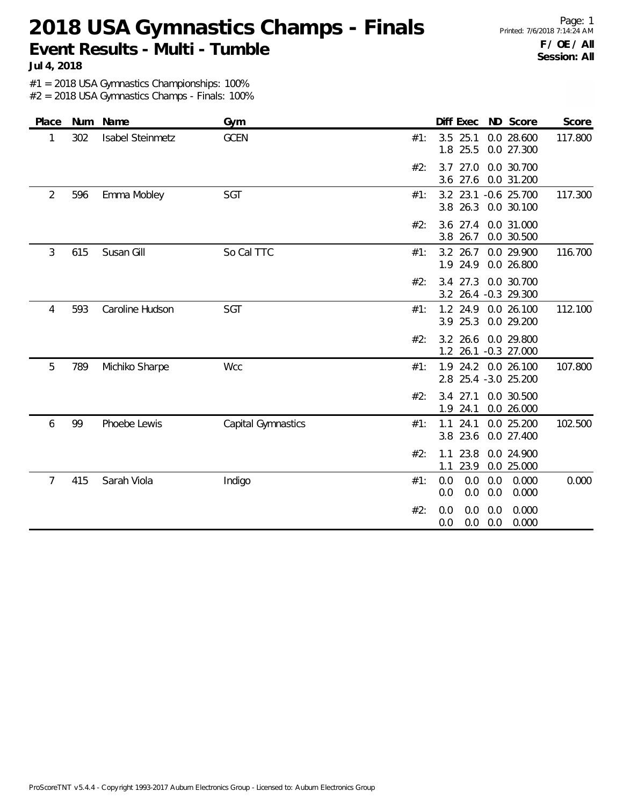**2018 USA Gymnastics Champs - Finals Event Results - Multi - Tumble**

Page: 1 Printed: 7/6/2018 7:14:24 AM **F / OE / All Session: All**

**Jul 4, 2018**

#1 = 2018 USA Gymnastics Championships: 100%

| Place          | Num | Name             | Gym                |        | Diff Exec ND Score                                       | Score   |
|----------------|-----|------------------|--------------------|--------|----------------------------------------------------------|---------|
| 1              | 302 | Isabel Steinmetz | <b>GCEN</b>        | #1:    | $3.5$ 25.1<br>0.0 28.600<br>1.8 25.5<br>0.0 27.300       | 117.800 |
|                |     |                  |                    | #2:    | 3.7 27.0<br>0.0 30.700<br>3.6 27.6<br>0.0 31.200         |         |
| $\overline{2}$ | 596 | Emma Mobley      | SGT                | $#1$ : | 3.2 23.1 -0.6 25.700<br>3.8 26.3<br>0.0 30.100           | 117.300 |
|                |     |                  |                    | #2:    | 3.6 27.4<br>0.0 31.000<br>3.8 26.7<br>0.0 30.500         |         |
| 3              | 615 | Susan Gill       | So Cal TTC         | $#1$ : | $3.2$ 26.7<br>0.0 29.900<br>1.9 24.9<br>0.0 26.800       | 116.700 |
|                |     |                  |                    | #2:    | 3.4 27.3<br>0.0 30.700<br>3.2 26.4 -0.3 29.300           |         |
| 4              | 593 | Caroline Hudson  | SGT                | #1:    | 1.2 24.9<br>0.0 26.100<br>3.9 25.3<br>0.0 29.200         | 112.100 |
|                |     |                  |                    | #2:    | 3.2 26.6<br>0.0 29.800<br>1.2 26.1 -0.3 27.000           |         |
| 5              | 789 | Michiko Sharpe   | Wcc                | #1:    | 1.9 24.2 0.0 26.100<br>2.8 25.4 -3.0 25.200              | 107.800 |
|                |     |                  |                    | #2:    | $3.4$ 27.1<br>0.0 30.500<br>1.9 24.1<br>0.0 26.000       |         |
| 6              | 99  | Phoebe Lewis     | Capital Gymnastics | #1:    | 0.0 25.200<br>1.1<br>24.1<br>23.6<br>3.8<br>0.0 27.400   | 102.500 |
|                |     |                  |                    | #2:    | 23.8<br>0.0 24.900<br>1.1<br>23.9<br>0.0 25.000<br>1.1   |         |
| 7              | 415 | Sarah Viola      | Indigo             | #1:    | 0.0<br>0.000<br>0.0<br>0.0<br>0.0<br>0.000<br>0.0<br>0.0 | 0.000   |
|                |     |                  |                    | #2:    | 0.000<br>0.0<br>0.0<br>0.0<br>0.000<br>0.0<br>0.0<br>0.0 |         |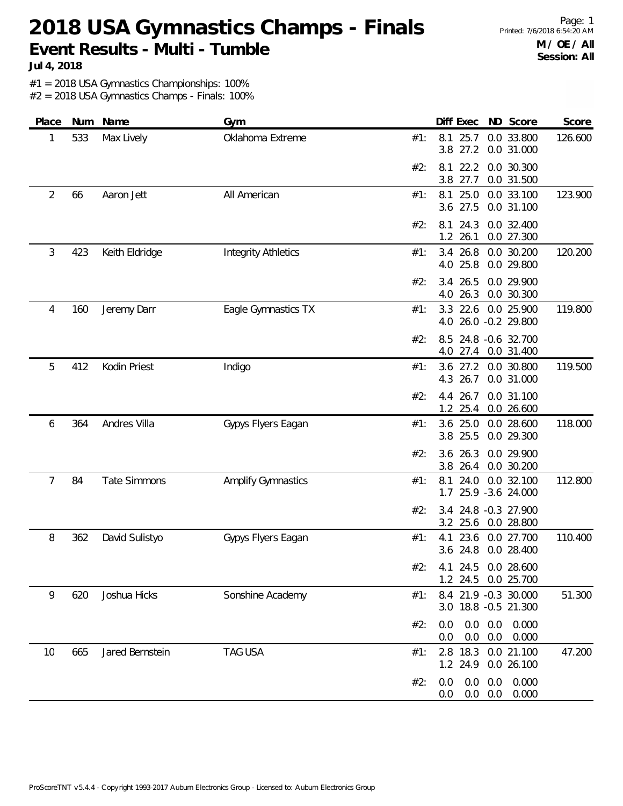# **2018 USA Gymnastics Champs - Finals Event Results - Multi - Tumble**

Page: 1 Printed: 7/6/2018 6:54:20 AM **M / OE / All Session: All**

**Jul 4, 2018**

#1 = 2018 USA Gymnastics Championships: 100%

| Place | Num | Name                | Gym                        |     | Diff Exec                  | ND Score                                     | Score   |
|-------|-----|---------------------|----------------------------|-----|----------------------------|----------------------------------------------|---------|
| 1     | 533 | Max Lively          | Oklahoma Extreme           | #1: | 25.7<br>8.1<br>3.8 27.2    | 0.0 33.800<br>0.0 31.000                     | 126.600 |
|       |     |                     |                            | #2: | 8.1<br>22.2<br>3.8<br>27.7 | 0.0 30.300<br>0.0 31.500                     |         |
| 2     | 66  | Aaron Jett          | All American               | #1: | 8.1<br>25.0<br>3.6 27.5    | 0.0 33.100<br>0.0 31.100                     | 123.900 |
|       |     |                     |                            | #2: | 8.1<br>24.3<br>1.2 26.1    | 0.0 32.400<br>0.0 27.300                     |         |
| 3     | 423 | Keith Eldridge      | <b>Integrity Athletics</b> | #1: | 3.4 26.8<br>4.0 25.8       | 0.0 30.200<br>0.0 29.800                     | 120.200 |
|       |     |                     |                            | #2: | 26.5<br>3.4<br>26.3<br>4.0 | 0.0 29.900<br>0.0 30.300                     |         |
| 4     | 160 | Jeremy Darr         | Eagle Gymnastics TX        | #1: | 22.6<br>3.3                | 0.0 25.900<br>4.0 26.0 -0.2 29.800           | 119.800 |
|       |     |                     |                            | #2: | 8.5                        | 24.8 -0.6 32.700<br>4.0 27.4 0.0 31.400      |         |
| 5     | 412 | Kodin Priest        | Indigo                     | #1: | 3.6<br>27.2<br>4.3 26.7    | 0.0 30.800<br>0.0 31.000                     | 119.500 |
|       |     |                     |                            | #2: | 4.4 26.7<br>25.4<br>1.2    | 0.0 31.100<br>0.0 26.600                     |         |
| 6     | 364 | Andres Villa        | Gypys Flyers Eagan         | #1: | 3.6 25.0<br>3.8 25.5       | 0.0 28.600<br>0.0 29.300                     | 118.000 |
|       |     |                     |                            | #2: | 3.6 26.3<br>3.8 26.4       | 0.0 29.900<br>0.0 30.200                     |         |
| 7     | 84  | <b>Tate Simmons</b> | <b>Amplify Gymnastics</b>  | #1: | 8.1<br>24.0<br>1.7         | 0.0 32.100<br>25.9 -3.6 24.000               | 112.800 |
|       |     |                     |                            | #2: | 3.4<br>3.2 25.6            | 24.8 -0.3 27.900<br>0.0 28.800               |         |
| 8     | 362 | David Sulistyo      | Gypys Flyers Eagan         | #1: | 4.1<br>23.6<br>3.6 24.8    | 0.0 27.700<br>0.0 28.400                     | 110.400 |
|       |     |                     |                            |     | 1.2 24.5                   | #2: 4.1 24.5 0.0 28.600<br>0.0 25.700        |         |
| 9     | 620 | Joshua Hicks        | Sonshine Academy           | #1: |                            | 8.4 21.9 -0.3 30.000<br>3.0 18.8 -0.5 21.300 | 51.300  |
|       |     |                     |                            | #2: | 0.0<br>0.0<br>0.0          | $0.0\quad 0.0$<br>0.000<br>0.0<br>0.000      |         |
| 10    | 665 | Jared Bernstein     | <b>TAG USA</b>             | #1: |                            | 2.8 18.3 0.0 21.100<br>1.2 24.9 0.0 26.100   | 47.200  |
|       |     |                     |                            | #2: | 0.0<br>0.0<br>0.0<br>0.0   | 0.0<br>0.000<br>0.000<br>0.0                 |         |
|       |     |                     |                            |     |                            |                                              |         |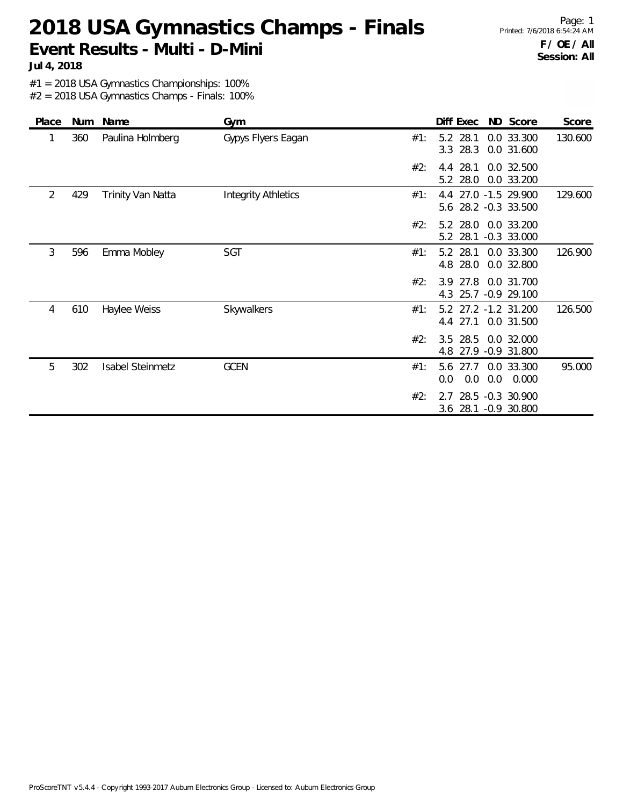### **2018 USA Gymnastics Champs - Finals Event Results - Multi - D-Mini**

Page: 1 Printed: 7/6/2018 6:54:24 AM **F / OE / All Session: All**

**Jul 4, 2018**

#1 = 2018 USA Gymnastics Championships: 100%

| Place | Num | Name                    | Gym                        |     | Diff Exec                                    | ND Score                             | Score   |
|-------|-----|-------------------------|----------------------------|-----|----------------------------------------------|--------------------------------------|---------|
| 1     | 360 | Paulina Holmberg        | Gypys Flyers Eagan         | #1: | 28.1<br>5.2<br>3.3 28.3                      | 0.0 33.300<br>0.0 31.600             | 130.600 |
|       |     |                         |                            | #2: | 28.1<br>4.4<br>5.2 28.0                      | 0.0 32.500<br>0.0 33.200             |         |
| 2     | 429 | Trinity Van Natta       | <b>Integrity Athletics</b> | #1: | 4.4 27.0 -1.5 29.900<br>5.6 28.2 -0.3 33.500 |                                      | 129.600 |
|       |     |                         |                            | #2: | 5.2 28.0<br>5.2 28.1 -0.3 33.000             | 0.0 33.200                           |         |
| 3     | 596 | Emma Mobley             | <b>SGT</b>                 | #1: | 5.2 28.1<br>4.8 28.0                         | 0.0 33.300<br>0.0 32.800             | 126.900 |
|       |     |                         |                            | #2: | 3.9<br>4.3                                   | 27.8 0.0 31.700<br>25.7 -0.9 29.100  |         |
| 4     | 610 | Haylee Weiss            | Skywalkers                 | #1: | 5.2<br>4.4 27.1                              | 27.2 -1.2 31.200<br>0.0 31.500       | 126.500 |
|       |     |                         |                            | #2: | 3.5<br>28.5<br>4.8                           | 0.0 32.000<br>27.9 -0.9 31.800       |         |
| 5     | 302 | <b>Isabel Steinmetz</b> | <b>GCEN</b>                | #1: | 5.6<br>27.7<br>0.0<br>0.0<br>0.0             | 0.0 33.300<br>0.000                  | 95.000  |
|       |     |                         |                            | #2: | 2.7<br>3.6                                   | 28.5 -0.3 30.900<br>28.1 -0.9 30.800 |         |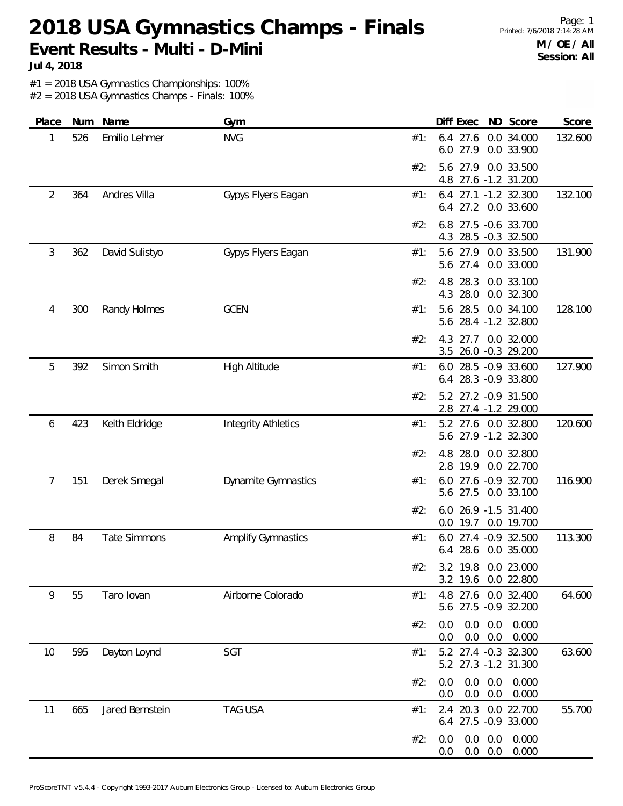#### **2018 USA Gymnastics Champs - Finals Event Results - Multi - D-Mini**

**Jul 4, 2018**

#1 = 2018 USA Gymnastics Championships: 100%

| Place | Num | Name                | Gym                        |     | Diff Exec<br>ND Score                                            | Score   |
|-------|-----|---------------------|----------------------------|-----|------------------------------------------------------------------|---------|
| 1     | 526 | Emilio Lehmer       | <b>NVG</b>                 | #1: | 0.0 34.000<br>$6.4$ 27.6<br>6.0 27.9<br>0.0 33.900               | 132.600 |
|       |     |                     |                            | #2: | 27.9<br>0.0 33.500<br>5.6<br>4.8 27.6 -1.2 31.200                |         |
| 2     | 364 | Andres Villa        | Gypys Flyers Eagan         | #1: | 6.4 27.1 -1.2 32.300<br>6.4 27.2 0.0 33.600                      | 132.100 |
|       |     |                     |                            | #2: | 6.8 27.5 -0.6 33.700<br>4.3 28.5 -0.3 32.500                     |         |
| 3     | 362 | David Sulistyo      | Gypys Flyers Eagan         | #1: | 5.6 27.9 0.0 33.500<br>5.6 27.4<br>0.0 33.000                    | 131.900 |
|       |     |                     |                            | #2: | 0.0 33.100<br>4.8<br>28.3<br>4.3 28.0<br>0.0 32.300              |         |
| 4     | 300 | Randy Holmes        | <b>GCEN</b>                | #1: | 5.6 28.5<br>0.0 34.100<br>5.6 28.4 -1.2 32.800                   | 128.100 |
|       |     |                     |                            | #2: | 4.3 27.7 0.0 32.000<br>3.5 26.0 -0.3 29.200                      |         |
| 5     | 392 | Simon Smith         | High Altitude              | #1: | 6.0 28.5 -0.9 33.600<br>6.4 28.3 -0.9 33.800                     | 127.900 |
|       |     |                     |                            | #2: | 5.2 27.2 -0.9 31.500<br>2.8 27.4 -1.2 29.000                     |         |
| 6     | 423 | Keith Eldridge      | <b>Integrity Athletics</b> | #1: | 5.2 27.6 0.0 32.800<br>5.6 27.9 -1.2 32.300                      | 120.600 |
|       |     |                     |                            | #2: | 28.0<br>0.0 32.800<br>4.8<br>2.8 19.9<br>0.0 22.700              |         |
| 7     | 151 | Derek Smegal        | Dynamite Gymnastics        | #1: | 6.0 27.6 -0.9 32.700<br>5.6 27.5<br>0.0 33.100                   | 116.900 |
|       |     |                     |                            | #2: | 6.0 26.9 -1.5 31.400<br>$0.0$ 19.7<br>0.0 19.700                 |         |
| 8     | 84  | <b>Tate Simmons</b> | <b>Amplify Gymnastics</b>  | #1: | 6.0 27.4 -0.9 32.500<br>6.4 28.6 0.0 35.000                      | 113.300 |
|       |     |                     |                            | #2: | 3.2 19.8 0.0 23.000<br>3.2 19.6 0.0 22.800                       |         |
| 9     | 55  | Taro Iovan          | Airborne Colorado          | #1: | 4.8 27.6 0.0 32.400<br>5.6 27.5 -0.9 32.200                      | 64.600  |
|       |     |                     |                            | #2: | $0.0$ $0.0$ $0.000$<br>0.0<br>$0.0$ $0.0$ $0.000$<br>0.0         |         |
| 10    | 595 | Dayton Loynd        | SGT                        | #1: | 5.2 27.4 -0.3 32.300<br>5.2 27.3 -1.2 31.300                     | 63.600  |
|       |     |                     |                            | #2: | $0.0$ $0.0$ $0.000$<br>0.0<br>$0.0\quad 0.0$<br>0.000<br>0.0     |         |
| 11    | 665 | Jared Bernstein     | <b>TAG USA</b>             | #1: | 2.4 20.3 0.0 22.700<br>6.4 27.5 -0.9 33.000                      | 55.700  |
|       |     |                     |                            | #2: | $0.0\quad 0.0$<br>0.000<br>0.0<br>$0.0\quad 0.0$<br>0.0<br>0.000 |         |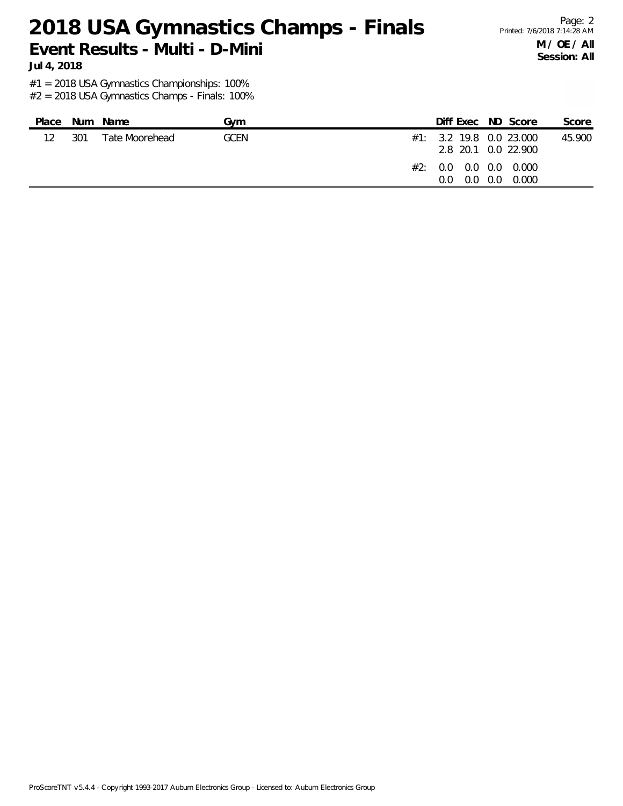**2018 USA Gymnastics Champs - Finals Event Results - Multi - D-Mini**

#1 = 2018 USA Gymnastics Championships: 100%

**Jul 4, 2018**

| $12 \overline{ }$<br>301<br><b>GCEN</b><br>Tate Moorehead<br>$#1: 3.2$ 19.8 0.0 23.000<br>2.8 20.1 0.0 22.900<br>#2: 0.0 0.0 0.0 0.000 | Place | Num Name | Gvm | Diff Exec ND Score | Score  |
|----------------------------------------------------------------------------------------------------------------------------------------|-------|----------|-----|--------------------|--------|
| $0.0\quad 0.0\quad 0.0\quad 0.000$                                                                                                     |       |          |     |                    | 45.900 |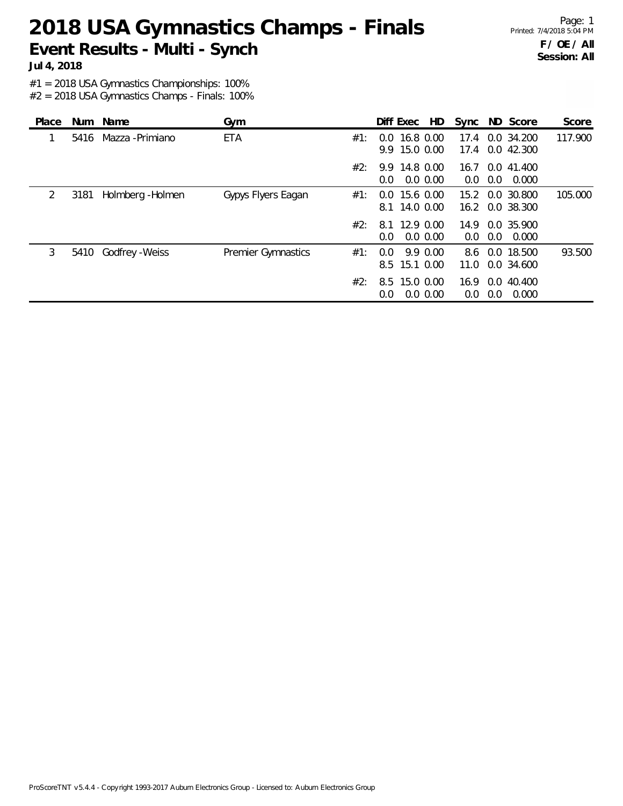### **2018 USA Gymnastics Champs - Finals Event Results - Multi - Synch**

Page: 1 Printed: 7/4/2018 5:04 PM **F / OE / All Session: All**

**Jul 4, 2018**

#1 = 2018 USA Gymnastics Championships: 100%

| Place |      | Num Name          | Gym                |     | Diff Exec<br>HD                             | Sync         | ND Score                        | Score   |
|-------|------|-------------------|--------------------|-----|---------------------------------------------|--------------|---------------------------------|---------|
|       | 5416 | Mazza - Primiano  | <b>ETA</b>         | #1: | 16.8 0.00<br>$0.0^{\circ}$<br>9.9 15.0 0.00 | 17.4<br>17.4 | 0.0 34.200<br>0.0 42.300        | 117.900 |
|       |      |                   |                    | #2: | 9.9 14.8 0.00<br>$0.0\,0.00$<br>0.0         | 0.0          | 16.7 0.0 41.400<br>0.0<br>0.000 |         |
| 2     | 3181 | Holmberg - Holmen | Gypys Flyers Eagan | #1: | 15.6 0.00<br>$0.0^{\circ}$<br>8.1 14.0 0.00 | 15.2<br>16.2 | 0.0 30.800<br>0.0 38.300        | 105.000 |
|       |      |                   |                    | #2: | 8.1 12.9 0.00<br>0.0 0.00<br>0.0            | 14.9<br>0.0  | 0.0 35.900<br>0.000<br>0.0      |         |
| 3     | 5410 | Godfrey - Weiss   | Premier Gymnastics | #1: | 9.9 0.00<br>$0.0^{\circ}$<br>8.5 15.1 0.00  | 8.6<br>11.0  | 0.0 18.500<br>0.0 34.600        | 93.500  |
|       |      |                   |                    | #2: | 8.5 15.0 0.00<br>0.0 0.00<br>0.0            | 16.9<br>0.0  | 0.0<br>40.400<br>0.000<br>0.0   |         |